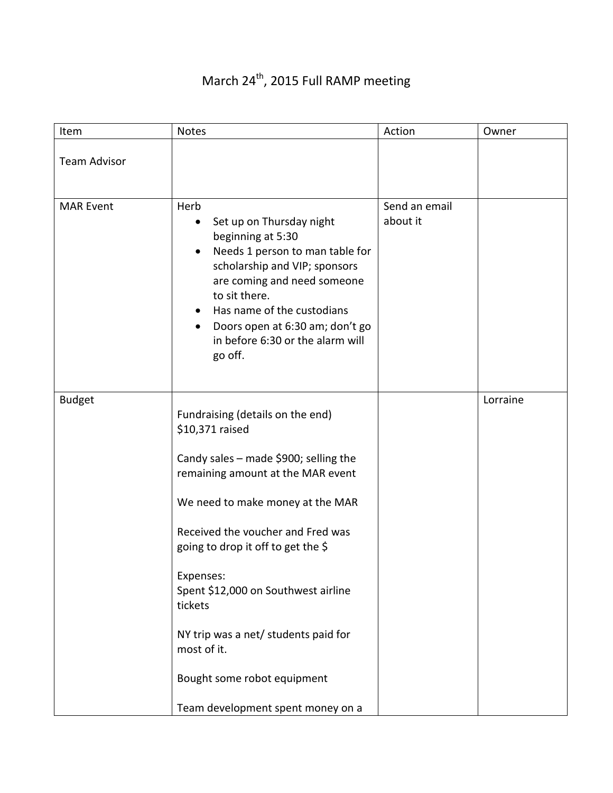## Item Notes Action Owner Team Advisor MAR Event | Herb • Set up on Thursday night beginning at 5:30 • Needs 1 person to man table for scholarship and VIP; sponsors are coming and need someone to sit there. • Has name of the custodians • Doors open at 6:30 am; don't go in before 6:30 or the alarm will go off. Send an email about it Budget Fundraising (details on the end) \$10,371 raised Candy sales – made \$900; selling the remaining amount at the MAR event We need to make money at the MAR Received the voucher and Fred was going to drop it off to get the \$ Expenses: Spent \$12,000 on Southwest airline tickets NY trip was a net/ students paid for most of it. Bought some robot equipment Team development spent money on a Lorraine

## March 24<sup>th</sup>, 2015 Full RAMP meeting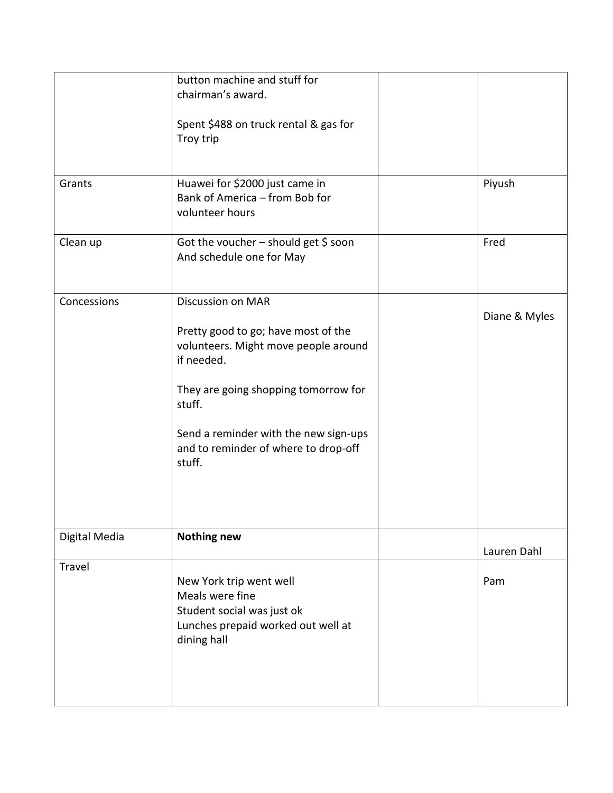|               | button machine and stuff for<br>chairman's award.<br>Spent \$488 on truck rental & gas for<br>Troy trip                                                                                                                                                            |               |
|---------------|--------------------------------------------------------------------------------------------------------------------------------------------------------------------------------------------------------------------------------------------------------------------|---------------|
| Grants        | Huawei for \$2000 just came in<br>Bank of America - from Bob for<br>volunteer hours                                                                                                                                                                                | Piyush        |
| Clean up      | Got the voucher $-$ should get \$ soon<br>And schedule one for May                                                                                                                                                                                                 | Fred          |
| Concessions   | <b>Discussion on MAR</b><br>Pretty good to go; have most of the<br>volunteers. Might move people around<br>if needed.<br>They are going shopping tomorrow for<br>stuff.<br>Send a reminder with the new sign-ups<br>and to reminder of where to drop-off<br>stuff. | Diane & Myles |
| Digital Media | <b>Nothing new</b>                                                                                                                                                                                                                                                 | Lauren Dahl   |
| Travel        | New York trip went well<br>Meals were fine<br>Student social was just ok<br>Lunches prepaid worked out well at<br>dining hall                                                                                                                                      | Pam           |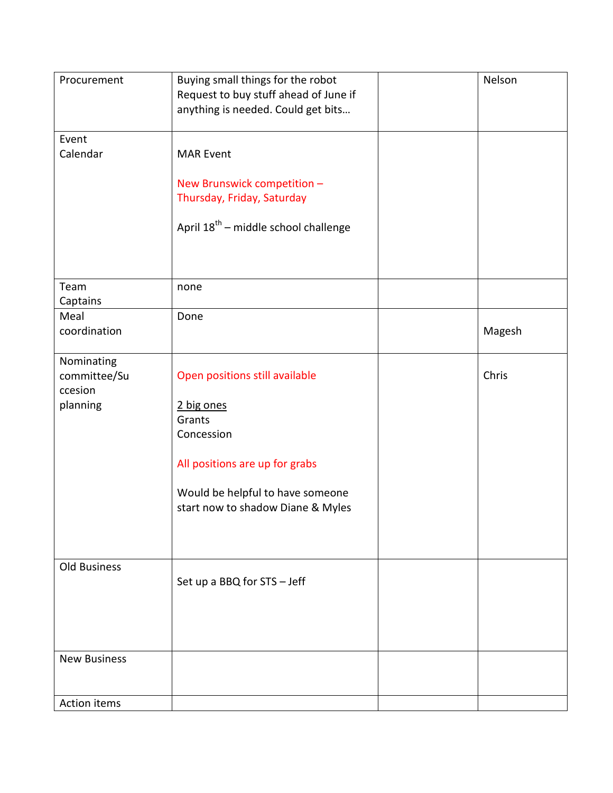| Procurement                                       | Buying small things for the robot<br>Request to buy stuff ahead of June if<br>anything is needed. Could get bits                           | Nelson |
|---------------------------------------------------|--------------------------------------------------------------------------------------------------------------------------------------------|--------|
| Event<br>Calendar                                 | <b>MAR Event</b>                                                                                                                           |        |
|                                                   | New Brunswick competition -<br>Thursday, Friday, Saturday                                                                                  |        |
|                                                   | April 18 <sup>th</sup> – middle school challenge                                                                                           |        |
| Team<br>Captains                                  | none                                                                                                                                       |        |
| Meal<br>coordination                              | Done                                                                                                                                       | Magesh |
| Nominating<br>committee/Su<br>ccesion<br>planning | Open positions still available<br>2 big ones<br>Grants<br>Concession<br>All positions are up for grabs<br>Would be helpful to have someone | Chris  |
|                                                   | start now to shadow Diane & Myles                                                                                                          |        |
| Old Business                                      | Set up a BBQ for STS - Jeff                                                                                                                |        |
| <b>New Business</b>                               |                                                                                                                                            |        |
| Action items                                      |                                                                                                                                            |        |